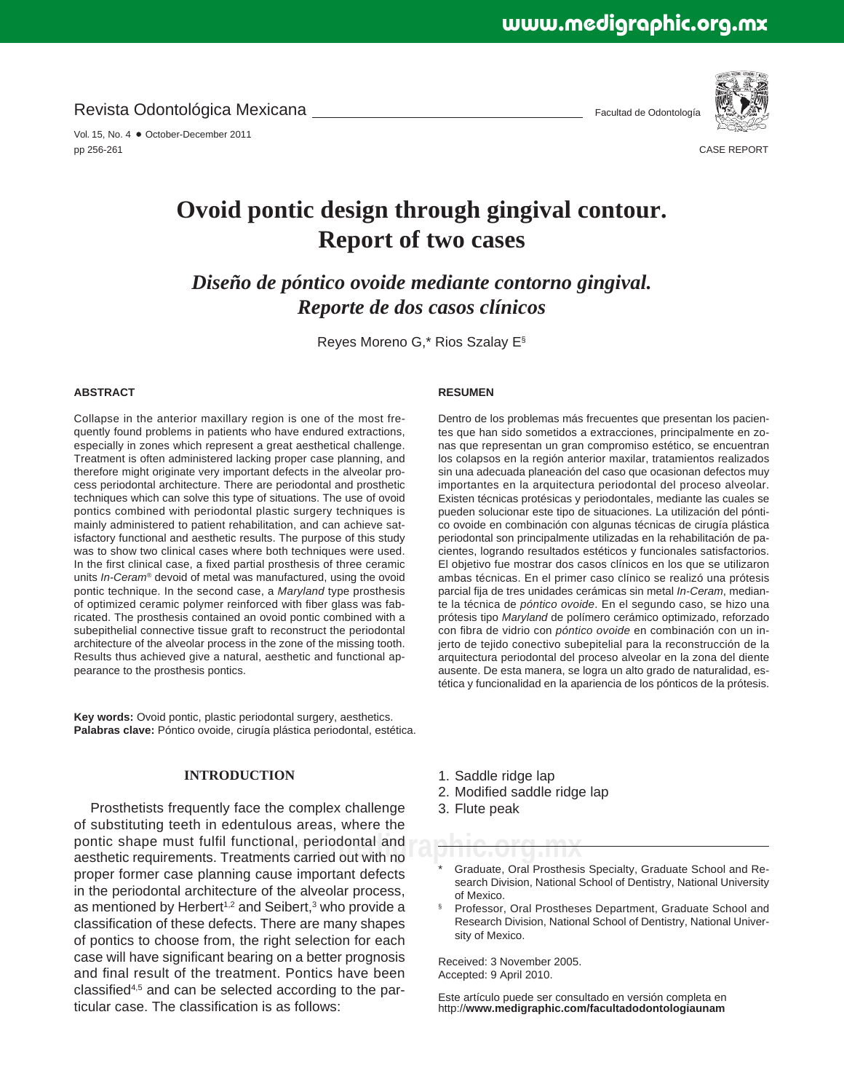Revista Odontológica Mexicana

Vol. 15, No. 4 · October-December 2011 pp 256-261

Facultad de Odontología



CASE REPORT

# **Ovoid pontic design through gingival contour. Report of two cases**

*Diseño de póntico ovoide mediante contorno gingival. Reporte de dos casos clínicos*

Reyes Moreno G,\* Rios Szalay E§

#### **ABSTRACT**

Collapse in the anterior maxillary region is one of the most frequently found problems in patients who have endured extractions, especially in zones which represent a great aesthetical challenge. Treatment is often administered lacking proper case planning, and therefore might originate very important defects in the alveolar process periodontal architecture. There are periodontal and prosthetic techniques which can solve this type of situations. The use of ovoid pontics combined with periodontal plastic surgery techniques is mainly administered to patient rehabilitation, and can achieve satisfactory functional and aesthetic results. The purpose of this study was to show two clinical cases where both techniques were used. In the first clinical case, a fixed partial prosthesis of three ceramic units *In-Ceram®* devoid of metal was manufactured, using the ovoid pontic technique. In the second case, a *Maryland* type prosthesis of optimized ceramic polymer reinforced with fiber glass was fabricated. The prosthesis contained an ovoid pontic combined with a subepithelial connective tissue graft to reconstruct the periodontal architecture of the alveolar process in the zone of the missing tooth. Results thus achieved give a natural, aesthetic and functional appearance to the prosthesis pontics.

**Key words:** Ovoid pontic, plastic periodontal surgery, aesthetics. **Palabras clave:** Póntico ovoide, cirugía plástica periodontal, estética.

### **INTRODUCTION**

pontic shape must fulfil functional, periodontal and<br>aesthetic requirements. Treatments carried out with no Prosthetists frequently face the complex challenge of substituting teeth in edentulous areas, where the aesthetic requirements. Treatments carried out with no proper former case planning cause important defects in the periodontal architecture of the alveolar process, as mentioned by Herbert<sup>1,2</sup> and Seibert,<sup>3</sup> who provide a classification of these defects. There are many shapes of pontics to choose from, the right selection for each case will have significant bearing on a better prognosis and final result of the treatment. Pontics have been classified<sup>4,5</sup> and can be selected according to the particular case. The classification is as follows:

#### **RESUMEN**

Dentro de los problemas más frecuentes que presentan los pacientes que han sido sometidos a extracciones, principalmente en zonas que representan un gran compromiso estético, se encuentran los colapsos en la región anterior maxilar, tratamientos realizados sin una adecuada planeación del caso que ocasionan defectos muy importantes en la arquitectura periodontal del proceso alveolar. Existen técnicas protésicas y periodontales, mediante las cuales se pueden solucionar este tipo de situaciones. La utilización del póntico ovoide en combinación con algunas técnicas de cirugía plástica periodontal son principalmente utilizadas en la rehabilitación de pacientes, logrando resultados estéticos y funcionales satisfactorios. El objetivo fue mostrar dos casos clínicos en los que se utilizaron ambas técnicas. En el primer caso clínico se realizó una prótesis parcial fija de tres unidades cerámicas sin metal *In-Ceram*, mediante la técnica de *póntico ovoide*. En el segundo caso, se hizo una prótesis tipo *Maryland* de polímero cerámico optimizado, reforzado con fibra de vidrio con *póntico ovoide* en combinación con un injerto de tejido conectivo subepitelial para la reconstrucción de la arquitectura periodontal del proceso alveolar en la zona del diente ausente. De esta manera, se logra un alto grado de naturalidad, estética y funcionalidad en la apariencia de los pónticos de la prótesis.

- 1. Saddle ridge lap
- 2. Modified saddle ridge lap
- 3. Flute peak

Graduate, Oral Prosthesis Specialty, Graduate School and Research Division, National School of Dentistry, National University of Mexico.

§ Professor, Oral Prostheses Department, Graduate School and Research Division, National School of Dentistry, National University of Mexico.

Received: 3 November 2005. Accepted: 9 April 2010.

Este artículo puede ser consultado en versión completa en http://**www.medigraphic.com/facultadodontologiaunam**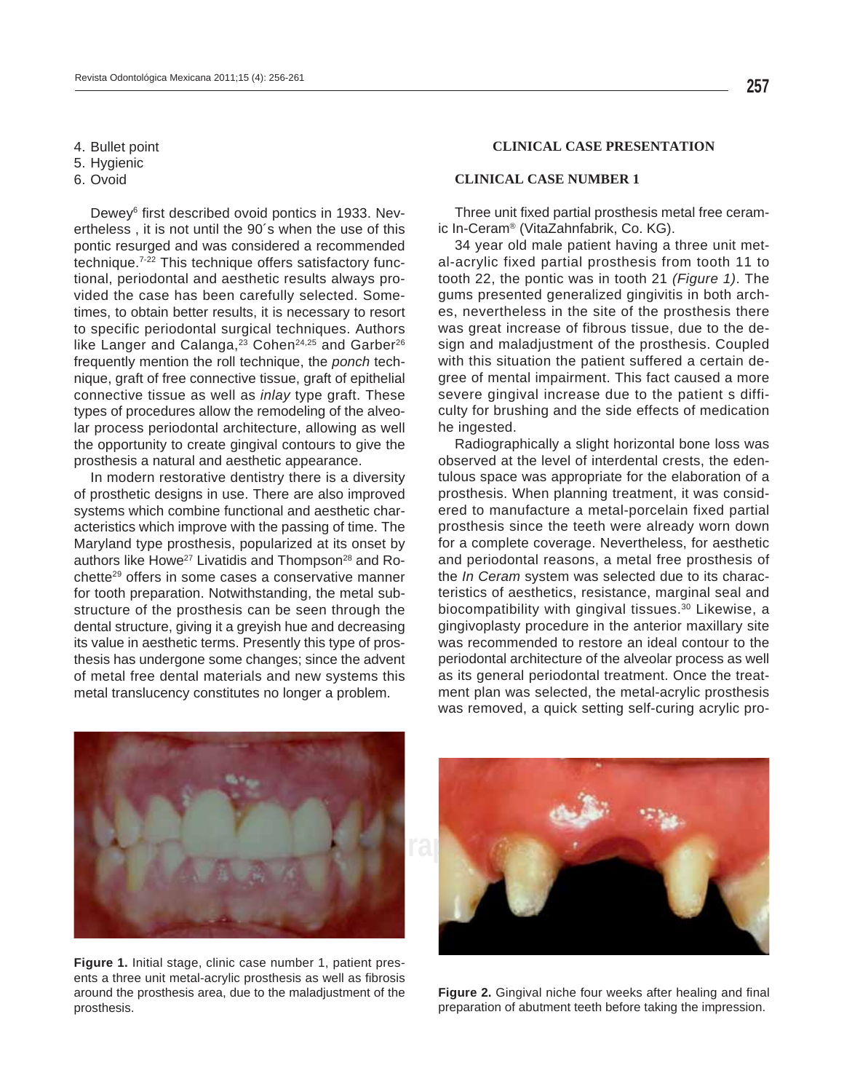4. Bullet point

5. Hygienic

6. Ovoid

Dewey<sup>6</sup> first described ovoid pontics in 1933. Nevertheless , it is not until the 90´s when the use of this pontic resurged and was considered a recommended technique.7-22 This technique offers satisfactory functional, periodontal and aesthetic results always provided the case has been carefully selected. Sometimes, to obtain better results, it is necessary to resort to specific periodontal surgical techniques. Authors like Langer and Calanga, $23$  Cohen<sup>24,25</sup> and Garber<sup>26</sup> frequently mention the roll technique, the *ponch* technique, graft of free connective tissue, graft of epithelial connective tissue as well as *inlay* type graft. These types of procedures allow the remodeling of the alveolar process periodontal architecture, allowing as well the opportunity to create gingival contours to give the prosthesis a natural and aesthetic appearance.

In modern restorative dentistry there is a diversity of prosthetic designs in use. There are also improved systems which combine functional and aesthetic characteristics which improve with the passing of time. The Maryland type prosthesis, popularized at its onset by authors like Howe<sup>27</sup> Livatidis and Thompson<sup>28</sup> and Rochette29 offers in some cases a conservative manner for tooth preparation. Notwithstanding, the metal substructure of the prosthesis can be seen through the dental structure, giving it a greyish hue and decreasing its value in aesthetic terms. Presently this type of prosthesis has undergone some changes; since the advent of metal free dental materials and new systems this metal translucency constitutes no longer a problem.

# **CLINICAL CASE PRESENTATION**

### **CLINICAL CASE NUMBER 1**

Three unit fixed partial prosthesis metal free ceramic In-Ceram® (VitaZahnfabrik, Co. KG).

34 year old male patient having a three unit metal-acrylic fixed partial prosthesis from tooth 11 to tooth 22, the pontic was in tooth 21 *(Figure 1)*. The gums presented generalized gingivitis in both arches, nevertheless in the site of the prosthesis there was great increase of fibrous tissue, due to the design and maladjustment of the prosthesis. Coupled with this situation the patient suffered a certain degree of mental impairment. This fact caused a more severe gingival increase due to the patient s difficulty for brushing and the side effects of medication he ingested.

Radiographically a slight horizontal bone loss was observed at the level of interdental crests, the edentulous space was appropriate for the elaboration of a prosthesis. When planning treatment, it was considered to manufacture a metal-porcelain fixed partial prosthesis since the teeth were already worn down for a complete coverage. Nevertheless, for aesthetic and periodontal reasons, a metal free prosthesis of the *In Ceram* system was selected due to its characteristics of aesthetics, resistance, marginal seal and biocompatibility with gingival tissues.<sup>30</sup> Likewise, a gingivoplasty procedure in the anterior maxillary site was recommended to restore an ideal contour to the periodontal architecture of the alveolar process as well as its general periodontal treatment. Once the treatment plan was selected, the metal-acrylic prosthesis was removed, a quick setting self-curing acrylic pro-



**Figure 1.** Initial stage, clinic case number 1, patient presents a three unit metal-acrylic prosthesis as well as fibrosis around the prosthesis area, due to the maladjustment of the prosthesis.



Figure 2. Gingival niche four weeks after healing and final preparation of abutment teeth before taking the impression.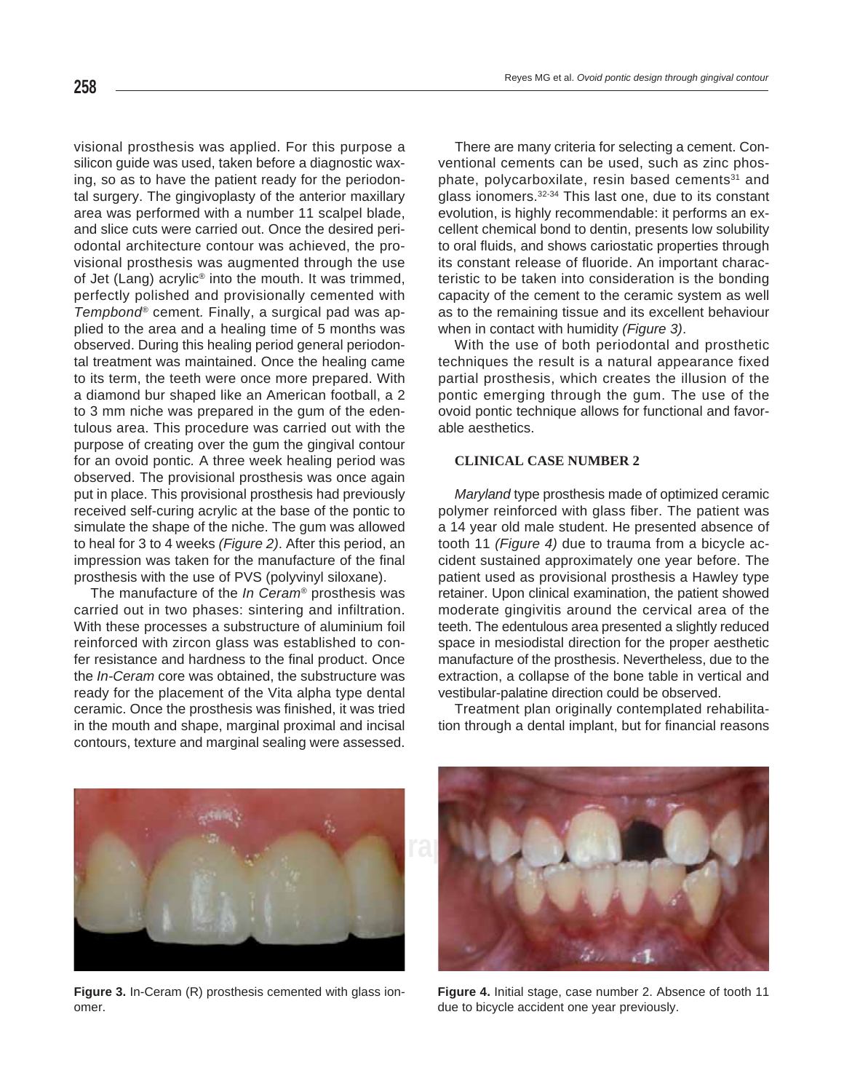visional prosthesis was applied. For this purpose a silicon guide was used, taken before a diagnostic waxing, so as to have the patient ready for the periodontal surgery. The gingivoplasty of the anterior maxillary area was performed with a number 11 scalpel blade, and slice cuts were carried out. Once the desired periodontal architecture contour was achieved, the provisional prosthesis was augmented through the use of Jet (Lang) acrylic® into the mouth. It was trimmed, perfectly polished and provisionally cemented with *Tempbond®* cement*.* Finally, a surgical pad was applied to the area and a healing time of 5 months was observed. During this healing period general periodontal treatment was maintained. Once the healing came to its term, the teeth were once more prepared. With a diamond bur shaped like an American football, a 2 to 3 mm niche was prepared in the gum of the edentulous area. This procedure was carried out with the purpose of creating over the gum the gingival contour for an ovoid pontic*.* A three week healing period was observed. The provisional prosthesis was once again put in place. This provisional prosthesis had previously received self-curing acrylic at the base of the pontic to simulate the shape of the niche. The gum was allowed to heal for 3 to 4 weeks *(Figure 2)*. After this period, an impression was taken for the manufacture of the final prosthesis with the use of PVS (polyvinyl siloxane).

The manufacture of the *In Ceram®* prosthesis was carried out in two phases: sintering and infiltration. With these processes a substructure of aluminium foil reinforced with zircon glass was established to confer resistance and hardness to the final product. Once the *In-Ceram* core was obtained, the substructure was ready for the placement of the Vita alpha type dental ceramic. Once the prosthesis was finished, it was tried in the mouth and shape, marginal proximal and incisal contours, texture and marginal sealing were assessed.

There are many criteria for selecting a cement. Conventional cements can be used, such as zinc phosphate, polycarboxilate, resin based cements<sup>31</sup> and glass ionomers.32-34 This last one, due to its constant evolution, is highly recommendable: it performs an excellent chemical bond to dentin, presents low solubility to oral fluids, and shows cariostatic properties through its constant release of fluoride. An important characteristic to be taken into consideration is the bonding capacity of the cement to the ceramic system as well as to the remaining tissue and its excellent behaviour when in contact with humidity *(Figure 3)*.

With the use of both periodontal and prosthetic techniques the result is a natural appearance fixed partial prosthesis, which creates the illusion of the pontic emerging through the gum. The use of the ovoid pontic technique allows for functional and favorable aesthetics.

# **CLINICAL CASE NUMBER 2**

*Maryland* type prosthesis made of optimized ceramic polymer reinforced with glass fiber. The patient was a 14 year old male student. He presented absence of tooth 11 *(Figure 4)* due to trauma from a bicycle accident sustained approximately one year before. The patient used as provisional prosthesis a Hawley type retainer. Upon clinical examination, the patient showed moderate gingivitis around the cervical area of the teeth. The edentulous area presented a slightly reduced space in mesiodistal direction for the proper aesthetic manufacture of the prosthesis. Nevertheless, due to the extraction, a collapse of the bone table in vertical and vestibular-palatine direction could be observed.

Treatment plan originally contemplated rehabilitation through a dental implant, but for financial reasons



**Figure 3.** In-Ceram (R) prosthesis cemented with glass ionomer.



**Figure 4.** Initial stage, case number 2. Absence of tooth 11 due to bicycle accident one year previously.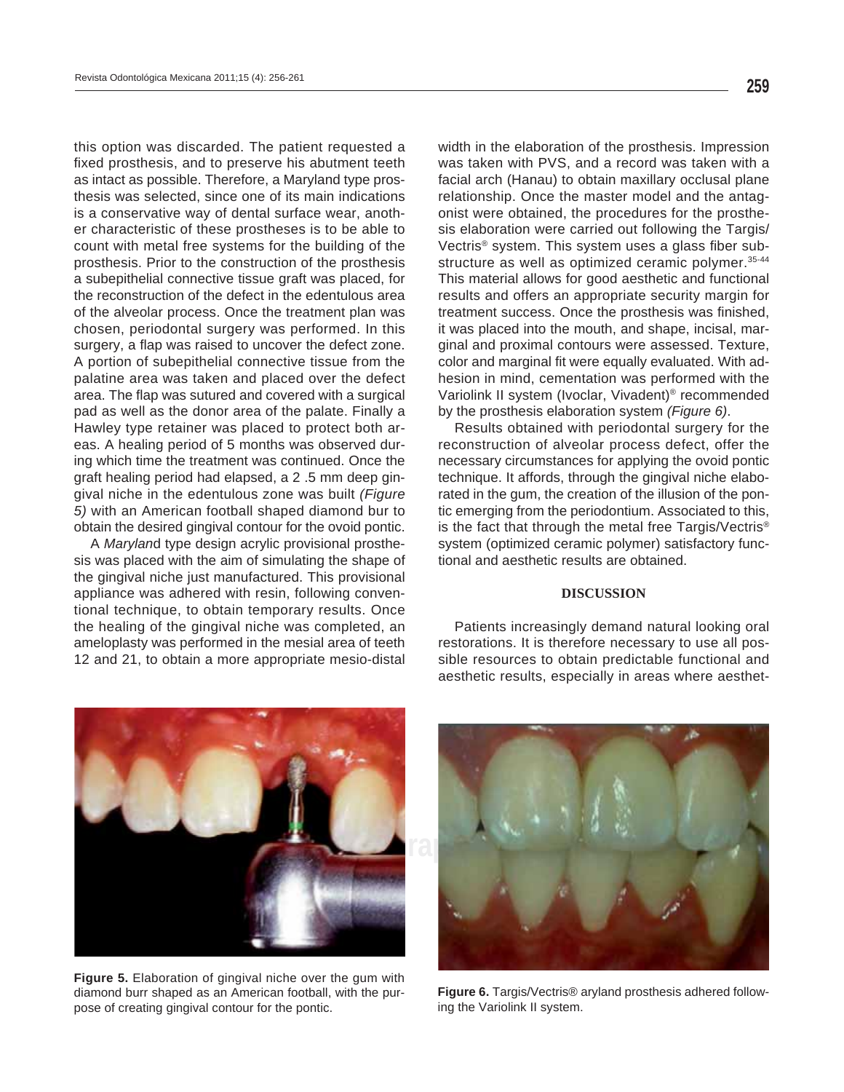pad as well as the donor area of the palate. Finally a this option was discarded. The patient requested a fixed prosthesis, and to preserve his abutment teeth as intact as possible. Therefore, a Maryland type prosthesis was selected, since one of its main indications is a conservative way of dental surface wear, another characteristic of these prostheses is to be able to count with metal free systems for the building of the prosthesis. Prior to the construction of the prosthesis a subepithelial connective tissue graft was placed, for the reconstruction of the defect in the edentulous area of the alveolar process. Once the treatment plan was chosen, periodontal surgery was performed. In this surgery, a flap was raised to uncover the defect zone. A portion of subepithelial connective tissue from the palatine area was taken and placed over the defect area. The flap was sutured and covered with a surgical Hawley type retainer was placed to protect both areas. A healing period of 5 months was observed during which time the treatment was continued. Once the graft healing period had elapsed, a 2 .5 mm deep gingival niche in the edentulous zone was built *(Figure 5)* with an American football shaped diamond bur to obtain the desired gingival contour for the ovoid pontic.

A *Marylan*d type design acrylic provisional prosthesis was placed with the aim of simulating the shape of the gingival niche just manufactured. This provisional appliance was adhered with resin, following conventional technique, to obtain temporary results. Once the healing of the gingival niche was completed, an ameloplasty was performed in the mesial area of teeth 12 and 21, to obtain a more appropriate mesio-distal

width in the elaboration of the prosthesis. Impression was taken with PVS, and a record was taken with a facial arch (Hanau) to obtain maxillary occlusal plane relationship. Once the master model and the antagonist were obtained, the procedures for the prosthesis elaboration were carried out following the Targis/ Vectris<sup>®</sup> system. This system uses a glass fiber substructure as well as optimized ceramic polymer. 35-44 This material allows for good aesthetic and functional results and offers an appropriate security margin for treatment success. Once the prosthesis was finished, it was placed into the mouth, and shape, incisal, marginal and proximal contours were assessed. Texture, color and marginal fit were equally evaluated. With adhesion in mind, cementation was performed with the Variolink II system (Ivoclar, Vivadent)® recommended by the prosthesis elaboration system *(Figure 6)*.

Results obtained with periodontal surgery for the reconstruction of alveolar process defect, offer the necessary circumstances for applying the ovoid pontic technique. It affords, through the gingival niche elaborated in the gum, the creation of the illusion of the pontic emerging from the periodontium. Associated to this, is the fact that through the metal free Targis/Vectris® system (optimized ceramic polymer) satisfactory functional and aesthetic results are obtained.

#### **DISCUSSION**

Patients increasingly demand natural looking oral restorations. It is therefore necessary to use all possible resources to obtain predictable functional and aesthetic results, especially in areas where aesthet-



**Figure 5.** Elaboration of gingival niche over the gum with diamond burr shaped as an American football, with the purpose of creating gingival contour for the pontic.



**Figure 6.** Targis/Vectris® aryland prosthesis adhered following the Variolink II system.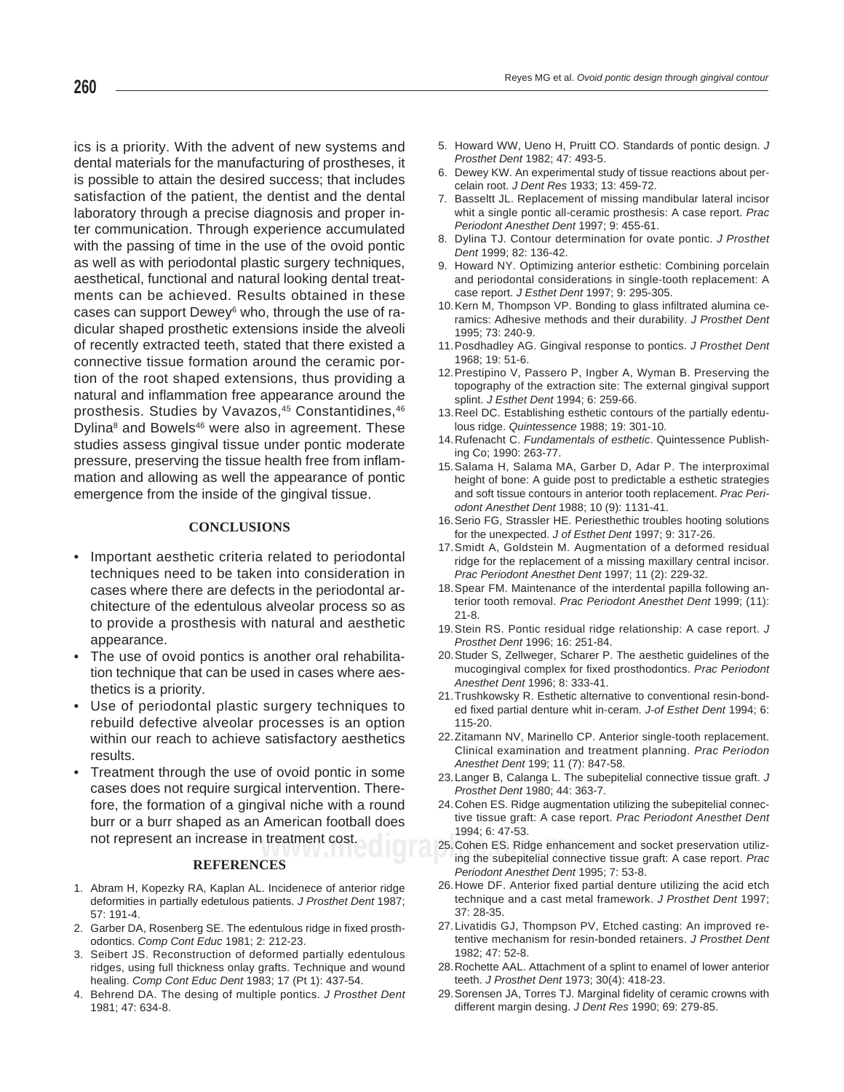ics is a priority. With the advent of new systems and dental materials for the manufacturing of prostheses, it is possible to attain the desired success; that includes satisfaction of the patient, the dentist and the dental laboratory through a precise diagnosis and proper inter communication. Through experience accumulated with the passing of time in the use of the ovoid pontic as well as with periodontal plastic surgery techniques, aesthetical, functional and natural looking dental treatments can be achieved. Results obtained in these cases can support Dewey<sup>6</sup> who, through the use of radicular shaped prosthetic extensions inside the alveoli of recently extracted teeth, stated that there existed a connective tissue formation around the ceramic portion of the root shaped extensions, thus providing a natural and inflammation free appearance around the prosthesis. Studies by Vavazos,<sup>45</sup> Constantidines, 46 Dylina<sup>8</sup> and Bowels<sup>46</sup> were also in agreement. These studies assess gingival tissue under pontic moderate pressure, preserving the tissue health free from inflammation and allowing as well the appearance of pontic emergence from the inside of the gingival tissue.

# **CONCLUSIONS**

- Important aesthetic criteria related to periodontal techniques need to be taken into consideration in cases where there are defects in the periodontal architecture of the edentulous alveolar process so as to provide a prosthesis with natural and aesthetic appearance.
- The use of ovoid pontics is another oral rehabilitation technique that can be used in cases where aesthetics is a priority.
- Use of periodontal plastic surgery techniques to rebuild defective alveolar processes is an option within our reach to achieve satisfactory aesthetics results.
- Treatment through the use of ovoid pontic in some cases does not require surgical intervention. Therefore, the formation of a gingival niche with a round burr or a burr shaped as an American football does not represent an increase in treatment cost.

#### **REFERENCES**

- 1. Abram H, Kopezky RA, Kaplan AL. Incidenece of anterior ridge deformities in partially edetulous patients. *J Prosthet Dent* 1987; 57: 191-4.
- 2. Garber DA, Rosenberg SE. The edentulous ridge in fixed prosthodontics. *Comp Cont Educ* 1981; 2: 212-23.
- 3. Seibert JS. Reconstruction of deformed partially edentulous ridges, using full thickness onlay grafts. Technique and wound healing. *Comp Cont Educ Dent* 1983; 17 (Pt 1): 437-54.
- 4. Behrend DA. The desing of multiple pontics. *J Prosthet Dent* 1981; 47: 634-8.
- 5. Howard WW, Ueno H, Pruitt CO. Standards of pontic design. *J Prosthet Dent* 1982; 47: 493-5.
- 6. Dewey KW. An experimental study of tissue reactions about percelain root. *J Dent Res* 1933; 13: 459-72.
- 7. Basseltt JL. Replacement of missing mandibular lateral incisor whit a single pontic all-ceramic prosthesis: A case report. *Prac Periodont Anesthet Dent* 1997; 9: 455-61.
- 8. Dylina TJ. Contour determination for ovate pontic. *J Prosthet Dent* 1999; 82: 136-42.
- 9. Howard NY. Optimizing anterior esthetic: Combining porcelain and periodontal considerations in single-tooth replacement: A case report. *J Esthet Dent* 1997; 9: 295-305.
- 10. Kern M, Thompson VP. Bonding to glass infiltrated alumina ceramics: Adhesive methods and their durability. *J Prosthet Dent* 1995; 73: 240-9.
- 11. Posdhadley AG. Gingival response to pontics. *J Prosthet Dent* 1968; 19: 51-6.
- 12. Prestipino V, Passero P, Ingber A, Wyman B. Preserving the topography of the extraction site: The external gingival support splint. *J Esthet Dent* 1994; 6: 259-66.
- 13. Reel DC. Establishing esthetic contours of the partially edentulous ridge. *Quintessence* 1988; 19: 301-10.
- 14. Rufenacht C. *Fundamentals of esthetic*. Quintessence Publishing Co; 1990: 263-77.
- 15. Salama H, Salama MA, Garber D, Adar P. The interproximal height of bone: A guide post to predictable a esthetic strategies and soft tissue contours in anterior tooth replacement. *Prac Periodont Anesthet Dent* 1988; 10 (9): 1131-41.
- 16. Serio FG, Strassler HE. Periesthethic troubles hooting solutions for the unexpected. *J of Esthet Dent* 1997; 9: 317-26.
- 17. Smidt A, Goldstein M. Augmentation of a deformed residual ridge for the replacement of a missing maxillary central incisor. *Prac Periodont Anesthet Dent* 1997; 11 (2): 229-32.
- 18. Spear FM. Maintenance of the interdental papilla following anterior tooth removal. *Prac Periodont Anesthet Dent* 1999; (11): 21-8.
- 19. Stein RS. Pontic residual ridge relationship: A case report. *J Prosthet Dent* 1996; 16: 251-84.
- 20. Studer S, Zellweger, Scharer P. The aesthetic guidelines of the mucogingival complex for fixed prosthodontics. Prac Periodont *Anesthet Dent* 1996; 8: 333-41.
- 21. Trushkowsky R. Esthetic alternative to conventional resin-bonded fixed partial denture whit in-ceram. *J-of Esthet Dent* 1994; 6: 115-20.
- 22. Zitamann NV, Marinello CP. Anterior single-tooth replacement. Clinical examination and treatment planning. *Prac Periodon Anesthet Dent* 199; 11 (7): 847-58.
- 23. Langer B, Calanga L. The subepitelial connective tissue graft. *J Prosthet Dent* 1980; 44: 363-7.
- 24. Cohen ES. Ridge augmentation utilizing the subepitelial connective tissue graft: A case report. *Prac Periodont Anesthet Dent* 1994; 6: 47-53.
- **treatment cost.**<br>
25. Cohen ES. Ridge enhancement and socket preservation utiliz-<br>
ing the subepitelial connective tissue graft: A case report. Practive ing the subepitelial connective tissue graft: A case report. *Prac Periodont Anesthet Dent* 1995; 7: 53-8.
	- 26. Howe DF. Anterior fixed partial denture utilizing the acid etch technique and a cast metal framework. *J Prosthet Dent* 1997; 37: 28-35.
	- 27. Livatidis GJ, Thompson PV, Etched casting: An improved retentive mechanism for resin-bonded retainers. *J Prosthet Dent* 1982; 47: 52-8.
	- 28. Rochette AAL. Attachment of a splint to enamel of lower anterior teeth. *J Prosthet Dent* 1973; 30(4): 418-23.
	- 29. Sorensen JA, Torres TJ. Marginal fidelity of ceramic crowns with different margin desing. *J Dent Res* 1990; 69: 279-85.